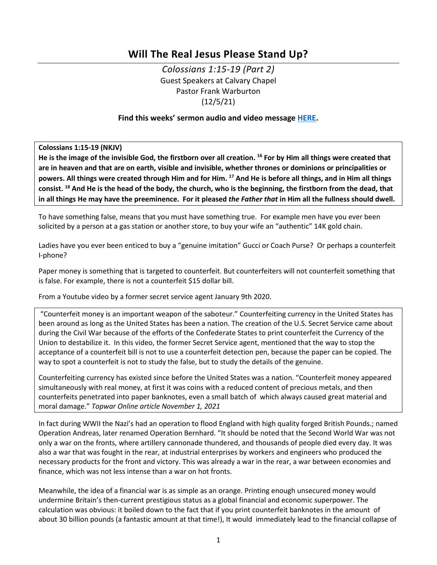# **Will The Real Jesus Please Stand Up?**

*Colossians 1:15-19 (Part 2)* Guest Speakers at Calvary Chapel Pastor Frank Warburton (12/5/21)

# **Find this weeks' sermon audio and video message [HERE.](http://www.ccelkgrove.org/guest-speakers)**

**Colossians 1:15-19 (NKJV)**

**He is the image of the invisible God, the firstborn over all creation. 16 For by Him all things were created that are in heaven and that are on earth, visible and invisible, whether thrones or dominions or principalities or powers. All things were created through Him and for Him. 17 And He is before all things, and in Him all things consist. 18 And He is the head of the body, the church, who is the beginning, the firstborn from the dead, that in all things He may have the preeminence. For it pleased** *the Father that* **in Him all the fullness should dwell.**

To have something false, means that you must have something true. For example men have you ever been solicited by a person at a gas station or another store, to buy your wife an "authentic" 14K gold chain.

Ladies have you ever been enticed to buy a "genuine imitation" Gucci or Coach Purse? Or perhaps a counterfeit I-phone?

Paper money is something that is targeted to counterfeit. But counterfeiters will not counterfeit something that is false. For example, there is not a counterfeit \$15 dollar bill.

From a Youtube video by a former secret service agent January 9th 2020.

"Counterfeit money is an important weapon of the saboteur." Counterfeiting currency in the United States has been around as long as the United States has been a nation. The creation of the U.S. Secret Service came about during the Civil War because of the efforts of the Confederate States to print counterfeit the Currency of the Union to destabilize it. In this video, the former Secret Service agent, mentioned that the way to stop the acceptance of a counterfeit bill is not to use a counterfeit detection pen, because the paper can be copied. The way to spot a counterfeit is not to study the false, but to study the details of the genuine.

Counterfeiting currency has existed since before the United States was a nation. "Counterfeit money appeared simultaneously with real money, at first it was coins with a reduced content of precious metals, and then counterfeits penetrated into paper banknotes, even a small batch of which always caused great material and moral damage." *Topwar Online article November 1, 2021* 

In fact during WWII the Nazi's had an operation to flood England with high quality forged British Pounds.; named Operation Andreas, later renamed Operation Bernhard. "It should be noted that the Second World War was not only a war on the fronts, where artillery cannonade thundered, and thousands of people died every day. It was also a war that was fought in the rear, at industrial enterprises by workers and engineers who produced the necessary products for the front and victory. This was already a war in the rear, a war between economies and finance, which was not less intense than a war on hot fronts.

Meanwhile, the idea of a financial war is as simple as an orange. Printing enough unsecured money would undermine Britain's then-current prestigious status as a global financial and economic superpower. The calculation was obvious: it boiled down to the fact that if you print counterfeit banknotes in the amount of about 30 billion pounds (a fantastic amount at that time!), It would immediately lead to the financial collapse of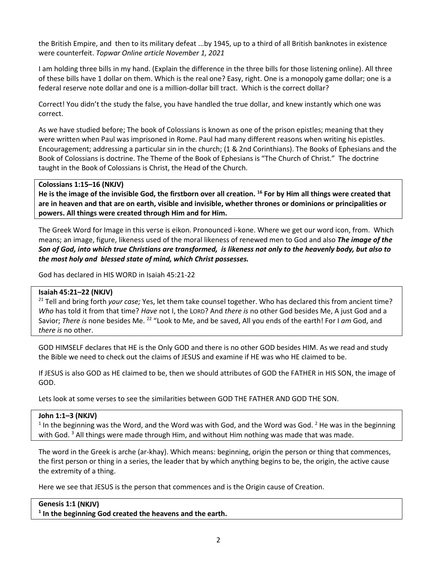the British Empire, and then to its military defeat ...by 1945, up to a third of all British banknotes in existence were counterfeit. *Topwar Online article November 1, 2021* 

I am holding three bills in my hand. (Explain the difference in the three bills for those listening online). All three of these bills have 1 dollar on them. Which is the real one? Easy, right. One is a monopoly game dollar; one is a federal reserve note dollar and one is a million-dollar bill tract. Which is the correct dollar?

Correct! You didn't the study the false, you have handled the true dollar, and knew instantly which one was correct.

As we have studied before; The book of Colossians is known as one of the prison epistles; meaning that they were written when Paul was imprisoned in Rome. Paul had many different reasons when writing his epistles. Encouragement; addressing a particular sin in the church; (1 & 2nd Corinthians). The Books of Ephesians and the Book of Colossians is doctrine. The Theme of the Book of Ephesians is "The Church of Christ." The doctrine taught in the Book of Colossians is Christ, the Head of the Church.

#### **Colossians 1:15–16 (NKJV)**

**He is the image of the invisible God, the firstborn over all creation. 16 For by Him all things were created that are in heaven and that are on earth, visible and invisible, whether thrones or dominions or principalities or powers. All things were created through Him and for Him.**

The Greek Word for Image in this verse is eikon. Pronounced i-kone. Where we get our word icon, from. Which means; an image, figure, likeness used of the moral likeness of renewed men to God and also *The image of the Son of God, into which true Christians are transformed, is likeness not only to the heavenly body, but also to the most holy and blessed state of mind, which Christ possesses.* 

God has declared in HIS WORD in [Isaiah 45:21-22](https://ref.ly/logosref/BibleNKJV.Is45.21-22)

## **Isaiah 45:21–22 (NKJV)**

<sup>21</sup> Tell and bring forth *your case;* Yes, let them take counsel together. Who has declared this from ancient time? *Who* has told it from that time? *Have* not I, the LORD? And *there is* no other God besides Me, A just God and a Savior; *There is* none besides Me. <sup>22</sup> "Look to Me, and be saved, All you ends of the earth! For I am God, and *there is* no other.

GOD HIMSELF declares that HE is the Only GOD and there is no other GOD besides HIM. As we read and study the Bible we need to check out the claims of JESUS and examine if HE was who HE claimed to be.

If JESUS is also GOD as HE claimed to be, then we should attributes of GOD the FATHER in HIS SON, the image of GOD.

Lets look at some verses to see the similarities between GOD THE FATHER AND GOD THE SON.

## **John 1:1–3 (NKJV)**

<sup>1</sup> In the beginning was the Word, and the Word was with God, and the Word was God. <sup>2</sup> He was in the beginning with God.<sup>3</sup> All things were made through Him, and without Him nothing was made that was made.

The word in the Greek is arche (ar-khay). Which means: beginning, origin the person or thing that commences, the first person or thing in a series, the leader that by which anything begins to be, the origin, the active cause the extremity of a thing.

Here we see that JESUS is the person that commences and is the Origin cause of Creation.

| Genesis 1:1 (NKJV)                                                   |
|----------------------------------------------------------------------|
| <sup>1</sup> In the beginning God created the heavens and the earth. |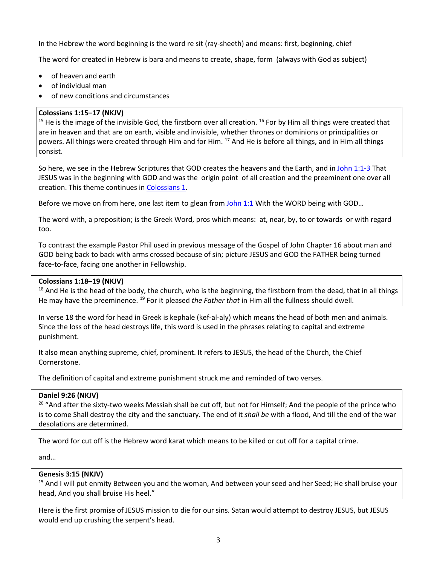In the Hebrew the word beginning is the word re sit (ray-sheeth) and means: first, beginning, chief

The word for created in Hebrew is bara and means to create, shape, form (always with God as subject)

- of heaven and earth
- of individual man
- of new conditions and circumstances

## **[Colossians 1:15–17](https://ref.ly/logosref/BibleNKJV.Col1.15-17) (NKJV)**

<sup>15</sup> He is the image of the invisible God, the firstborn over all creation. <sup>16</sup> For by Him all things were created that are in heaven and that are on earth, visible and invisible, whether thrones or dominions or principalities or powers. All things were created through Him and for Him. <sup>17</sup> And He is before all things, and in Him all things consist.

So here, we see in the Hebrew Scriptures that GOD creates the heavens and the Earth, and in John 1:1-3 That JESUS was in the beginning with GOD and was the origin point of all creation and the preeminent one over all creation. This theme continues in Colossians 1.

Before we move on from here, one last item to glean from  $John 1:1$  With the WORD being with GOD...

The word with, a preposition; is the Greek Word, pros which means: at, near, by, to or towards or with regard too.

To contrast the example Pastor Phil used in previous message of the Gospel of John Chapter 16 about man and GOD being back to back with arms crossed because of sin; picture JESUS and GOD the FATHER being turned face-to-face, facing one another in Fellowship.

## **[Colossians 1:18–19](https://ref.ly/logosref/BibleNKJV.Col1.18-19) (NKJV)**

 $18$  And He is the head of the body, the church, who is the beginning, the firstborn from the dead, that in all things He may have the preeminence. 19 For it pleased *the Father that* in Him all the fullness should dwell.

In verse 18 the word for head in Greek is kephale (kef-al-aly) which means the head of both men and animals. Since the loss of the head destroys life, this word is used in the phrases relating to capital and extreme punishment.

It also mean anything supreme, chief, prominent. It refers to JESUS, the head of the Church, the Chief Cornerstone.

The definition of capital and extreme punishment struck me and reminded of two verses.

## **[Daniel 9:26](https://ref.ly/logosref/BibleNKJV.Da9.26) (NKJV)**

<sup>26</sup> "And after the sixty-two weeks Messiah shall be cut off, but not for Himself; And the people of the prince who is to come Shall destroy the city and the sanctuary. The end of it *shall be* with a flood, And till the end of the war desolations are determined.

The word for cut off is the Hebrew word karat which means to be killed or cut off for a capital crime.

and…

## **[Genesis 3:15](https://ref.ly/logosref/BibleNKJV.Ge3.15) (NKJV)**

<sup>15</sup> And I will put enmity Between you and the woman, And between your seed and her Seed; He shall bruise your head, And you shall bruise His heel."

Here is the first promise of JESUS mission to die for our sins. Satan would attempt to destroy JESUS, but JESUS would end up crushing the serpent's head.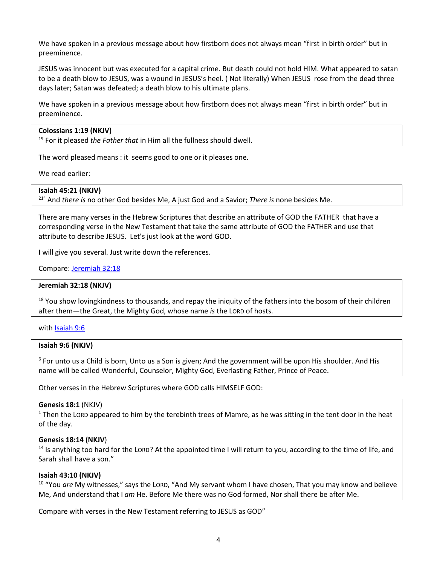We have spoken in a previous message about how firstborn does not always mean "first in birth order" but in preeminence.

JESUS was innocent but was executed for a capital crime. But death could not hold HIM. What appeared to satan to be a death blow to JESUS, was a wound in JESUS's heel. ( Not literally) When JESUS rose from the dead three days later; Satan was defeated; a death blow to his ultimate plans.

We have spoken in a previous message about how firstborn does not always mean "first in birth order" but in preeminence.

# **[Colossians 1:19](https://ref.ly/logosref/BibleNKJV.Col1.19) (NKJV)**

<sup>19</sup> For it pleased *the Father that* in Him all the fullness should dwell.

The word pleased means : it seems good to one or it pleases one.

We read earlier:

#### **Isaiah 45:21 (NKJV)**

21" And *there is* no other God besides Me, A just God and a Savior; *There is* none besides Me.

There are many verses in the Hebrew Scriptures that describe an attribute of GOD the FATHER that have a corresponding verse in the New Testament that take the same attribute of GOD the FATHER and use that attribute to describe JESUS. Let's just look at the word GOD.

I will give you several. Just write down the references.

#### Compare: [Jeremiah 32:18](https://ref.ly/logosref/BibleNKJV.Je32.18)

#### **[Jeremiah 32:18](https://ref.ly/logosref/BibleNKJV.Je32.18) (NKJV)**

<sup>18</sup> You show lovingkindness to thousands, and repay the iniquity of the fathers into the bosom of their children after them—the Great, the Mighty God, whose name *is* the LORD of hosts.

with [Isaiah 9:6](https://ref.ly/logosref/BibleNKJV.Is9.6)

## **[Isaiah 9:6](https://ref.ly/logosref/BibleNKJV.Is9.6) (NKJV)**

<sup>6</sup> For unto us a Child is born, Unto us a Son is given; And the government will be upon His shoulder. And His name will be called Wonderful, Counselor, Mighty God, Everlasting Father, Prince of Peace.

Other verses in the Hebrew Scriptures where GOD calls HIMSELF GOD:

## **Genesis 18:1** (NKJV)

 $1$  Then the LORD appeared to him by the terebinth trees of Mamre, as he was sitting in the tent door in the heat of the day.

#### **Genesis 18:14 (NKJV**)

<sup>14</sup> Is anything too hard for the LORD? At the appointed time I will return to you, according to the time of life, and Sarah shall have a son."

## **[Isaiah 43:10](https://ref.ly/logosref/BibleNKJV.Is43.10) (NKJV)**

<sup>10</sup> "You *are* My witnesses," says the LORD, "And My servant whom I have chosen, That you may know and believe Me, And understand that I *am* He. Before Me there was no God formed, Nor shall there be after Me.

Compare with verses in the New Testament referring to JESUS as GOD"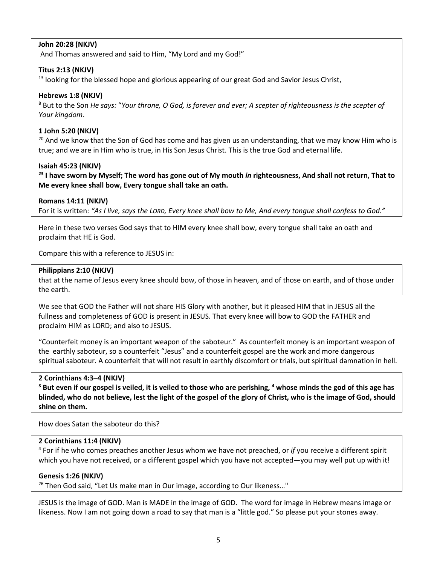# **John 20:28 (NKJV)**

And Thomas answered and said to Him, "My Lord and my God!"

## **Titus 2:13 (NKJV)**

<sup>13</sup> looking for the blessed hope and glorious appearing of our great God and Savior Jesus Christ,

#### **Hebrews 1:8 (NKJV)**

<sup>8</sup> But to the Son *He says:* "*Your throne, O God, is forever and ever; A scepter of righteousness is the scepter of Your kingdom*.

#### **1 John 5:20 (NKJV)**

 $20$  And we know that the Son of God has come and has given us an understanding, that we may know Him who is true; and we are in Him who is true, in His Son Jesus Christ. This is the true God and eternal life.

#### **[Isaiah 45:23](https://ref.ly/logosref/BibleNKJV.Is45.23) (NKJV)**

**<sup>23</sup> I have sworn by Myself; The word has gone out of My mouth** *in* **righteousness, And shall not return, That to Me every knee shall bow, Every tongue shall take an oath.**

#### **[Romans 14:11](https://ref.ly/logosref/BibleNKJV.Ro14.11) (NKJV)**

For it is written: *"As I live, says the LORD, Every knee shall bow to Me, And every tongue shall confess to God."*

Here in these two verses God says that to HIM every knee shall bow, every tongue shall take an oath and proclaim that HE is God.

Compare this with a reference to JESUS in:

## **Philippians 2:10 (NKJV)**

that at the name of Jesus every knee should bow, of those in heaven, and of those on earth, and of those under the earth.

We see that GOD the Father will not share HIS Glory with another, but it pleased HIM that in JESUS all the fullness and completeness of GOD is present in JESUS. That every knee will bow to GOD the FATHER and proclaim HIM as LORD; and also to JESUS.

"Counterfeit money is an important weapon of the saboteur." As counterfeit money is an important weapon of the earthly saboteur, so a counterfeit "Jesus" and a counterfeit gospel are the work and more dangerous spiritual saboteur. A counterfeit that will not result in earthly discomfort or trials, but spiritual damnation in hell.

#### **[2 Corinthians 4:3–4](https://ref.ly/logosref/BibleNKJV.2Co4.3-4) (NKJV)**

**<sup>3</sup> But even if our gospel is veiled, it is veiled to those who are perishing, 4 whose minds the god of this age has blinded, who do not believe, lest the light of the gospel of the glory of Christ, who is the image of God, should shine on them.**

How does Satan the saboteur do this?

## **2 Corinthians 11:4 (NKJV)**

<sup>4</sup> For if he who comes preaches another Jesus whom we have not preached, or *if* you receive a different spirit which you have not received, or a different gospel which you have not accepted—you may well put up with it!

## **Genesis 1:26 (NKJV)**

<sup>26</sup> Then God said, "Let Us make man in Our image, according to Our likeness..."

JESUS is the image of GOD. Man is MADE in the image of GOD. The word for image in Hebrew means image or likeness. Now I am not going down a road to say that man is a "little god." So please put your stones away.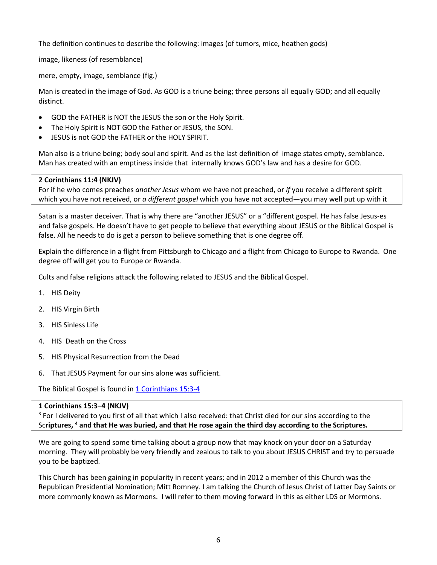The definition continues to describe the following: images (of tumors, mice, heathen gods)

image, likeness (of resemblance)

mere, empty, image, semblance (fig.)

Man is created in the image of God. As GOD is a triune being; three persons all equally GOD; and all equally distinct.

- GOD the FATHER is NOT the JESUS the son or the Holy Spirit.
- The Holy Spirit is NOT GOD the Father or JESUS, the SON.
- JESUS is not GOD the FATHER or the HOLY SPIRIT.

Man also is a triune being; body soul and spirit. And as the last definition of image states empty, semblance. Man has created with an emptiness inside that internally knows GOD's law and has a desire for GOD.

# **[2 Corinthians 11:4](https://ref.ly/logosref/BibleNKJV.2Co11.4) (NKJV)**

For if he who comes preaches *another Jesus* whom we have not preached, or *if* you receive a different spirit which you have not received, or *a different gospel* which you have not accepted—you may well put up with it

Satan is a master deceiver. That is why there are "another JESUS" or a "different gospel. He has false Jesus-es and false gospels. He doesn't have to get people to believe that everything about JESUS or the Biblical Gospel is false. All he needs to do is get a person to believe something that is one degree off.

Explain the difference in a flight from Pittsburgh to Chicago and a flight from Chicago to Europe to Rwanda. One degree off will get you to Europe or Rwanda.

Cults and false religions attack the following related to JESUS and the Biblical Gospel.

- 1. HIS Deity
- 2. HIS Virgin Birth
- 3. HIS Sinless Life
- 4. HIS Death on the Cross
- 5. HIS Physical Resurrection from the Dead
- 6. That JESUS Payment for our sins alone was sufficient.

The Biblical Gospel is found in [1 Corinthians 15:3-4](https://ref.ly/logosref/BibleNKJV.1Co15.3-4)

## **1 Corinthians 15:3–4 (NKJV)**

<sup>3</sup> For I delivered to you first of all that which I also received: that Christ died for our sins according to the Sc**riptures, 4 and that He was buried, and that He rose again the third day according to the Scriptures.**

We are going to spend some time talking about a group now that may knock on your door on a Saturday morning. They will probably be very friendly and zealous to talk to you about JESUS CHRIST and try to persuade you to be baptized.

This Church has been gaining in popularity in recent years; and in 2012 a member of this Church was the Republican Presidential Nomination; Mitt Romney. I am talking the Church of Jesus Christ of Latter Day Saints or more commonly known as Mormons. I will refer to them moving forward in this as either LDS or Mormons.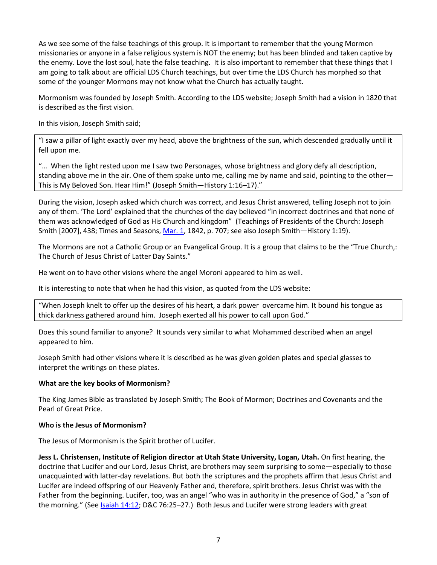As we see some of the false teachings of this group. It is important to remember that the young Mormon missionaries or anyone in a false religious system is NOT the enemy; but has been blinded and taken captive by the enemy. Love the lost soul, hate the false teaching. It is also important to remember that these things that I am going to talk about are official LDS Church teachings, but over time the LDS Church has morphed so that some of the younger Mormons may not know what the Church has actually taught.

Mormonism was founded by Joseph Smith. According to the LDS website; Joseph Smith had a vision in 1820 that is described as the first vision.

In this vision, Joseph Smith said;

"I saw a pillar of light exactly over my head, above the brightness of the sun, which descended gradually until it fell upon me.

"… When the light rested upon me I saw two Personages, whose brightness and glory defy all description, standing above me in the air. One of them spake unto me, calling me by name and said, pointing to the other— This is My Beloved Son. Hear Him!" (Joseph Smith—History 1:16–17)."

During the vision, Joseph asked which church was correct, and Jesus Christ answered, telling Joseph not to join any of them. 'The Lord' explained that the churches of the day believed "in incorrect doctrines and that none of them was acknowledged of God as His Church and kingdom" (Teachings of Presidents of the Church: Joseph Smith [2007], 438; Times and Seasons, [Mar. 1,](https://ref.ly/logosref/BibleNKJV.Mk1) 1842, p. 707; see also Joseph Smith—History 1:19).

The Mormons are not a Catholic Group or an Evangelical Group. It is a group that claims to be the "True Church,: The Church of Jesus Christ of Latter Day Saints."

He went on to have other visions where the angel Moroni appeared to him as well.

It is interesting to note that when he had this vision, as quoted from the LDS website:

"When Joseph knelt to offer up the desires of his heart, a dark power overcame him. It bound his tongue as thick darkness gathered around him. Joseph exerted all his power to call upon God."

Does this sound familiar to anyone? It sounds very similar to what Mohammed described when an angel appeared to him.

Joseph Smith had other visions where it is described as he was given golden plates and special glasses to interpret the writings on these plates.

#### **What are the key books of Mormonism?**

The King James Bible as translated by Joseph Smith; The Book of Mormon; Doctrines and Covenants and the Pearl of Great Price.

#### **Who is the Jesus of Mormonism?**

The Jesus of Mormonism is the Spirit brother of Lucifer.

**Jess L. Christensen, Institute of Religion director at Utah State University, Logan, Utah.** On first hearing, the doctrine that Lucifer and our Lord, Jesus Christ, are brothers may seem surprising to some—especially to those unacquainted with latter-day revelations. But both the scriptures and the prophets affirm that Jesus Christ and Lucifer are indeed offspring of our Heavenly Father and, therefore, spirit brothers. Jesus Christ was with the Father from the beginning. Lucifer, too, was an angel "who was in authority in the presence of God," a "son of the morning." (See Isaiah 14:12; D&C 76:25–27.) Both Jesus and Lucifer were strong leaders with great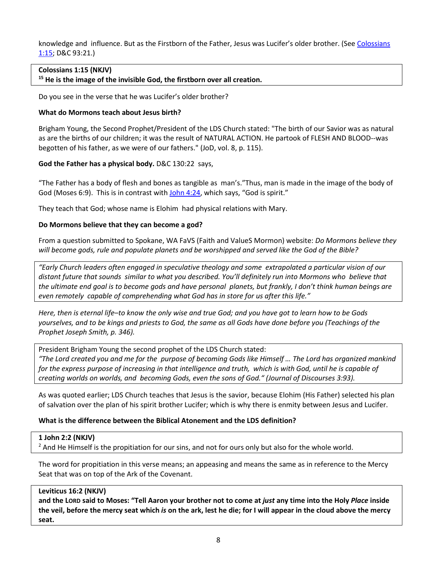knowledge and influence. But as the Firstborn of the Father, Jesus was Lucifer's older brother. (See Colossians 1:15; D&C 93:21.)

#### **[Colossians 1:15](https://ref.ly/logosref/BibleNKJV.Col1.15) (NKJV)**

**<sup>15</sup> He is the image of the invisible God, the firstborn over all creation.**

Do you see in the verse that he was Lucifer's older brother?

#### **What do Mormons teach about Jesus birth?**

Brigham Young, the Second Prophet/President of the LDS Church stated: "The birth of our Savior was as natural as are the births of our children; it was the result of NATURAL ACTION. He partook of FLESH AND BLOOD--was begotten of his father, as we were of our fathers." (JoD, vol. 8, p. 115).

## **God the Father has a physical body.** D&C 130:22 says,

"The Father has a body of flesh and bones as tangible as man's."Thus, man is made in the image of the body of God (Moses 6:9). This is in contrast wit[h John 4:24,](https://ref.ly/logosref/BibleNKJV.Jn4.24) which says, "God is spirit."

They teach that God; whose name is Elohim had physical relations with Mary.

#### **Do Mormons believe that they can become a god?**

From a question submitted to Spokane, WA FaVS (Faith and ValueS Mormon) website: *Do Mormons believe they will become gods, rule and populate planets and be worshipped and served like the God of the Bible?* 

*"Early Church leaders often engaged in speculative theology and some extrapolated a particular vision of our distant future that sounds similar to what you described. You'll definitely run into Mormons who believe that the ultimate end goal is to become gods and have personal planets, but frankly, I don't think human beings are even remotely capable of comprehending what God has in store for us after this life."*

*Here, then is eternal life–to know the only wise and true God; and you have got to learn how to be Gods yourselves, and to be kings and priests to God, the same as all Gods have done before you (Teachings of the Prophet Joseph Smith, p. 346).*

President Brigham Young the second prophet of the LDS Church stated:

*"The Lord created you and me for the purpose of becoming Gods like Himself … The Lord has organized mankind*  for the express purpose of increasing in that intelligence and truth, which is with God, until he is capable of *creating worlds on worlds, and becoming Gods, even the sons of God." (Journal of Discourses 3:93).*

As was quoted earlier; LDS Church teaches that Jesus is the savior, because Elohim (His Father) selected his plan of salvation over the plan of his spirit brother Lucifer; which is why there is enmity between Jesus and Lucifer.

## **What is the difference between the Biblical Atonement and the LDS definition?**

#### **1 John 2:2 (NKJV)**

 $<sup>2</sup>$  And He Himself is the propitiation for our sins, and not for ours only but also for the whole world.</sup>

The word for propitiation in this verse means; an appeasing and means the same as in reference to the Mercy Seat that was on top of the Ark of the Covenant.

## **Leviticus 16:2 (NKJV)**

**and the LORD said to Moses: "Tell Aaron your brother not to come at** *just* **any time into the Holy** *Place* **inside the veil, before the mercy seat which** *is* **on the ark, lest he die; for I will appear in the cloud above the mercy seat.**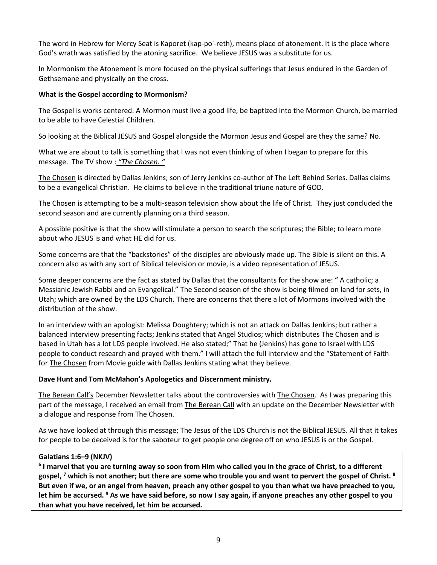The word in Hebrew for Mercy Seat is Kaporet (kap-po'-reth), means place of atonement. It is the place where God's wrath was satisfied by the atoning sacrifice. We believe JESUS was a substitute for us.

In Mormonism the Atonement is more focused on the physical sufferings that Jesus endured in the Garden of Gethsemane and physically on the cross.

## **What is the Gospel according to Mormonism?**

The Gospel is works centered. A Mormon must live a good life, be baptized into the Mormon Church, be married to be able to have Celestial Children.

So looking at the Biblical JESUS and Gospel alongside the Mormon Jesus and Gospel are they the same? No.

What we are about to talk is something that I was not even thinking of when I began to prepare for this message. The TV show : *"The Chosen. "*

The Chosen is directed by Dallas Jenkins; son of Jerry Jenkins co-author of The Left Behind Series. Dallas claims to be a evangelical Christian. He claims to believe in the traditional triune nature of GOD.

The Chosen is attempting to be a multi-season television show about the life of Christ. They just concluded the second season and are currently planning on a third season.

A possible positive is that the show will stimulate a person to search the scriptures; the Bible; to learn more about who JESUS is and what HE did for us.

Some concerns are that the "backstories" of the disciples are obviously made up. The Bible is silent on this. A concern also as with any sort of Biblical television or movie, is a video representation of JESUS.

Some deeper concerns are the fact as stated by Dallas that the consultants for the show are: " A catholic; a Messianic Jewish Rabbi and an Evangelical." The Second season of the show is being filmed on land for sets, in Utah; which are owned by the LDS Church. There are concerns that there a lot of Mormons involved with the distribution of the show.

In an interview with an apologist: Melissa Doughtery; which is not an attack on Dallas Jenkins; but rather a balanced interview presenting facts; Jenkins stated that Angel Studios; which distributes The Chosen and is based in Utah has a lot LDS people involved. He also stated;" That he (Jenkins) has gone to Israel with LDS people to conduct research and prayed with them." I will attach the full interview and the "Statement of Faith for The Chosen from Movie guide with Dallas Jenkins stating what they believe.

## **Dave Hunt and Tom McMahon's Apologetics and Discernment ministry.**

The Berean Call's December Newsletter talks about the controversies with The Chosen. As I was preparing this part of the message, I received an email from The Berean Call with an update on the December Newsletter with a dialogue and response from The Chosen.

As we have looked at through this message; The Jesus of the LDS Church is not the Biblical JESUS. All that it takes for people to be deceived is for the saboteur to get people one degree off on who JESUS is or the Gospel.

## **Galatians 1:6–9 (NKJV)**

**<sup>6</sup> I marvel that you are turning away so soon from Him who called you in the grace of Christ, to a different gospel, 7 which is not another; but there are some who trouble you and want to pervert the gospel of Christ. 8 But even if we, or an angel from heaven, preach any other gospel to you than what we have preached to you, let him be accursed. 9 As we have said before, so now I say again, if anyone preaches any other gospel to you than what you have received, let him be accursed.**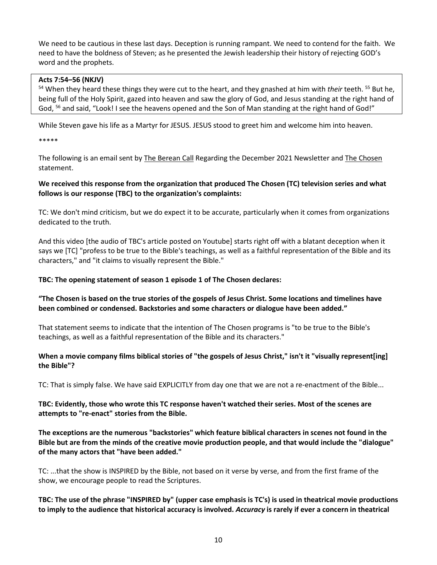We need to be cautious in these last days. Deception is running rampant. We need to contend for the faith. We need to have the boldness of Steven; as he presented the Jewish leadership their history of rejecting GOD's word and the prophets.

#### **[Acts 7:54–56](https://ref.ly/logosref/BibleNKJV.Ac7.54-56) (NKJV)**

<sup>54</sup> When they heard these things they were cut to the heart, and they gnashed at him with *their* teeth. <sup>55</sup> But he, being full of the Holy Spirit, gazed into heaven and saw the glory of God, and Jesus standing at the right hand of God, <sup>56</sup> and said, "Look! I see the heavens opened and the Son of Man standing at the right hand of God!"

While Steven gave his life as a Martyr for JESUS. JESUS stood to greet him and welcome him into heaven.

\*\*\*\*\*

The following is an email sent by The Berean Call Regarding the December 2021 Newsletter and The Chosen statement.

## **We received this response from the organization that produced The Chosen (TC) television series and what follows is our response (TBC) to the organization's complaints:**

TC: We don't mind criticism, but we do expect it to be accurate, particularly when it comes from organizations dedicated to the truth.

And this video [the audio of TBC's article posted on Youtube] starts right off with a blatant deception when it says we [TC] "profess to be true to the Bible's teachings, as well as a faithful representation of the Bible and its characters," and "it claims to visually represent the Bible."

#### **TBC: The opening statement of season 1 episode 1 of The Chosen declares:**

# **"The Chosen is based on the true stories of the gospels of Jesus Christ. Some locations and timelines have been combined or condensed. Backstories and some characters or dialogue have been added."**

That statement seems to indicate that the intention of The Chosen programs is "to be true to the Bible's teachings, as well as a faithful representation of the Bible and its characters."

# **When a movie company films biblical stories of "the gospels of Jesus Christ," isn't it "visually represent[ing] the Bible"?**

TC: That is simply false. We have said EXPLICITLY from day one that we are not a re-enactment of the Bible...

# **TBC: Evidently, those who wrote this TC response haven't watched their series. Most of the scenes are attempts to "re-enact" stories from the Bible.**

**The exceptions are the numerous "backstories" which feature biblical characters in scenes not found in the Bible but are from the minds of the creative movie production people, and that would include the "dialogue" of the many actors that "have been added."**

TC: ...that the show is INSPIRED by the Bible, not based on it verse by verse, and from the first frame of the show, we encourage people to read the Scriptures.

**TBC: The use of the phrase "INSPIRED by" (upper case emphasis is TC's) is used in theatrical movie productions to imply to the audience that historical accuracy is involved.** *Accuracy* **is rarely if ever a concern in theatrical**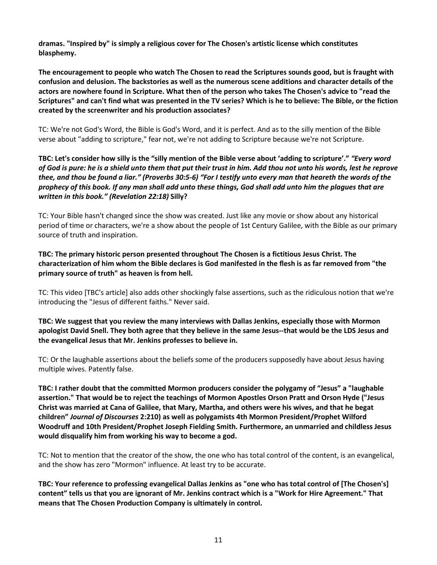**dramas. "Inspired by" is simply a religious cover for The Chosen's artistic license which constitutes blasphemy.**

**The encouragement to people who watch The Chosen to read the Scriptures sounds good, but is fraught with confusion and delusion. The backstories as well as the numerous scene additions and character details of the actors are nowhere found in Scripture. What then of the person who takes The Chosen's advice to "read the Scriptures" and can't find what was presented in the TV series? Which is he to believe: The Bible, or the fiction created by the screenwriter and his production associates?**

TC: We're not God's Word, the Bible is God's Word, and it is perfect. And as to the silly mention of the Bible verse about "adding to scripture," fear not, we're not adding to Scripture because we're not Scripture.

**TBC: Let's consider how silly is the "silly mention of the Bible verse about 'adding to scripture'."** *"Every word of God is pure: he is a shield unto them that put their trust in him. Add thou not unto his words, lest he reprove thee, and thou be found a liar." (Proverbs 30:5-6) "For I testify unto every man that heareth the words of the prophecy of this book. If any man shall add unto these things, God shall add unto him the plagues that are written in this book." (Revelation 22:18)* **Silly?**

TC: Your Bible hasn't changed since the show was created. Just like any movie or show about any historical period of time or characters, we're a show about the people of 1st Century Galilee, with the Bible as our primary source of truth and inspiration.

**TBC: The primary historic person presented throughout The Chosen is a fictitious Jesus Christ. The characterization of him whom the Bible declares is God manifested in the flesh is as far removed from "the primary source of truth" as heaven is from hell.**

TC: This video [TBC's article] also adds other shockingly false assertions, such as the ridiculous notion that we're introducing the "Jesus of different faiths." Never said.

**TBC: We suggest that you review the many interviews with Dallas Jenkins, especially those with Mormon apologist David Snell. They both agree that they believe in the same Jesus--that would be the LDS Jesus and the evangelical Jesus that Mr. Jenkins professes to believe in.**

TC: Or the laughable assertions about the beliefs some of the producers supposedly have about Jesus having multiple wives. Patently false.

**TBC: I rather doubt that the committed Mormon producers consider the polygamy of "Jesus" a "laughable assertion." That would be to reject the teachings of Mormon Apostles Orson Pratt and Orson Hyde ("Jesus Christ was married at Cana of Galilee, that Mary, Martha, and others were his wives, and that he begat children"** *Journal of Discourses* **2:210) as well as polygamists 4th Mormon President/Prophet Wilford Woodruff and 10th President/Prophet Joseph Fielding Smith. Furthermore, an unmarried and childless Jesus would disqualify him from working his way to become a god.**

TC: Not to mention that the creator of the show, the one who has total control of the content, is an evangelical, and the show has zero "Mormon" influence. At least try to be accurate.

**TBC: Your reference to professing evangelical Dallas Jenkins as "one who has total control of [The Chosen's] content" tells us that you are ignorant of Mr. Jenkins contract which is a "Work for Hire Agreement." That means that The Chosen Production Company is ultimately in control.**